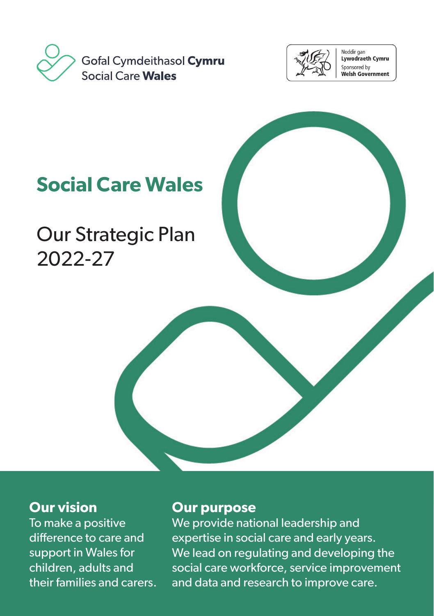



Noddir gan ستون.<br>Lywodraeth Cymru Sponsored by .<br>Welsh Government

# **Social Care Wales**

Our Strategic Plan 2022-27

#### **Our vision**

To make a positive difference to care and support in Wales for children, adults and their families and carers.

#### **Our purpose**

We provide national leadership and expertise in social care and early years. We lead on regulating and developing the social care workforce, service improvement and data and research to improve care.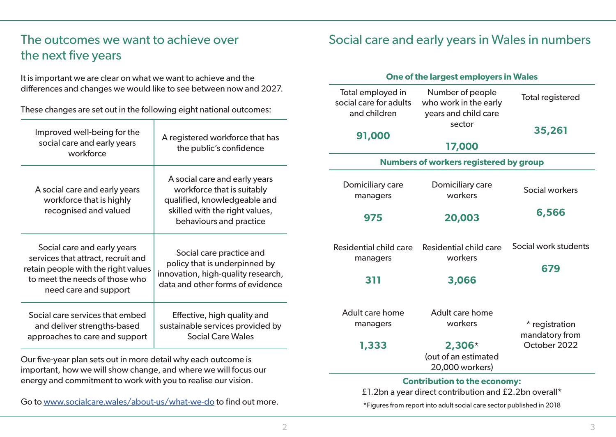# The outcomes we want to achieve over the next five years

It is important we are clear on what we want to achieve and the differences and changes we would like to see between now and 2027.

These changes are set out in the following eight national outcomes:

| Improved well-being for the<br>social care and early years<br>workforce                                                                                             | A registered workforce that has<br>the public's confidence                                                                                               |
|---------------------------------------------------------------------------------------------------------------------------------------------------------------------|----------------------------------------------------------------------------------------------------------------------------------------------------------|
| A social care and early years<br>workforce that is highly<br>recognised and valued                                                                                  | A social care and early years<br>workforce that is suitably<br>qualified, knowledgeable and<br>skilled with the right values,<br>behaviours and practice |
| Social care and early years<br>services that attract, recruit and<br>retain people with the right values<br>to meet the needs of those who<br>need care and support | Social care practice and<br>policy that is underpinned by<br>innovation, high-quality research,<br>data and other forms of evidence                      |
| Social care services that embed<br>and deliver strengths-based<br>approaches to care and support                                                                    | Effective, high quality and<br>sustainable services provided by<br><b>Social Care Wales</b>                                                              |

Our five-year plan sets out in more detail why each outcome is important, how we will show change, and where we will focus our energy and commitment to work with you to realise our vision.

Go to www.socialcare.wales/about-us/what-we-do to find out more.

## Social care and early years in Wales in numbers

#### **One of the largest employers in Wales**

| Total employed in<br>social care for adults   | Number of people<br>who work in the early           | <b>Total registered</b>          |
|-----------------------------------------------|-----------------------------------------------------|----------------------------------|
| and children<br>91,000                        | years and child care<br>sector                      | 35,261                           |
|                                               | 17,000                                              |                                  |
| <b>Numbers of workers registered by group</b> |                                                     |                                  |
| Domiciliary care<br>managers                  | Domiciliary care<br>workers                         | Social workers                   |
| 975                                           | 20,003                                              | 6,566                            |
| Residential child care<br>managers            | Residential child care<br>workers                   | Social work students<br>679      |
| 311                                           | 3,066                                               |                                  |
| Adult care home<br>managers                   | Adult care home<br>workers                          | * registration<br>mandatory from |
| 1,333                                         | $2,306*$<br>(out of an estimated<br>20,000 workers) | October 2022                     |

\*Figures from report into adult social care sector published in 2018